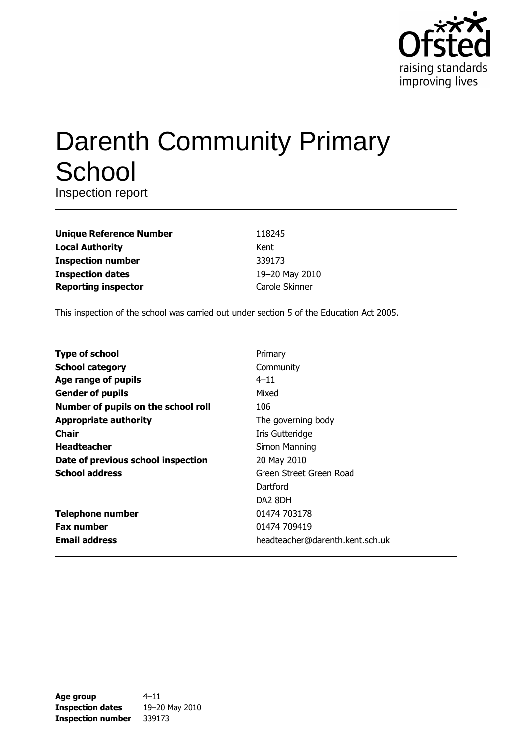

# **Darenth Community Primary** School

Inspection report

| <b>Unique Reference Number</b> |  |
|--------------------------------|--|
| <b>Local Authority</b>         |  |
| <b>Inspection number</b>       |  |
| <b>Inspection dates</b>        |  |
| <b>Reporting inspector</b>     |  |

118245 Kent 339173 19-20 May 2010 Carole Skinner

This inspection of the school was carried out under section 5 of the Education Act 2005.

| <b>Type of school</b>               | Primary                         |
|-------------------------------------|---------------------------------|
| <b>School category</b>              | Community                       |
| Age range of pupils                 | $4 - 11$                        |
| <b>Gender of pupils</b>             | Mixed                           |
| Number of pupils on the school roll | 106                             |
| <b>Appropriate authority</b>        | The governing body              |
| Chair                               | Iris Gutteridge                 |
| <b>Headteacher</b>                  | Simon Manning                   |
| Date of previous school inspection  | 20 May 2010                     |
| <b>School address</b>               | Green Street Green Road         |
|                                     | Dartford                        |
|                                     | DA <sub>2</sub> 8DH             |
| <b>Telephone number</b>             | 01474 703178                    |
| <b>Fax number</b>                   | 01474 709419                    |
| <b>Email address</b>                | headteacher@darenth.kent.sch.uk |

| Age group                | $4 - 11$       |
|--------------------------|----------------|
| <b>Inspection dates</b>  | 19-20 May 2010 |
| <b>Inspection number</b> | 339173         |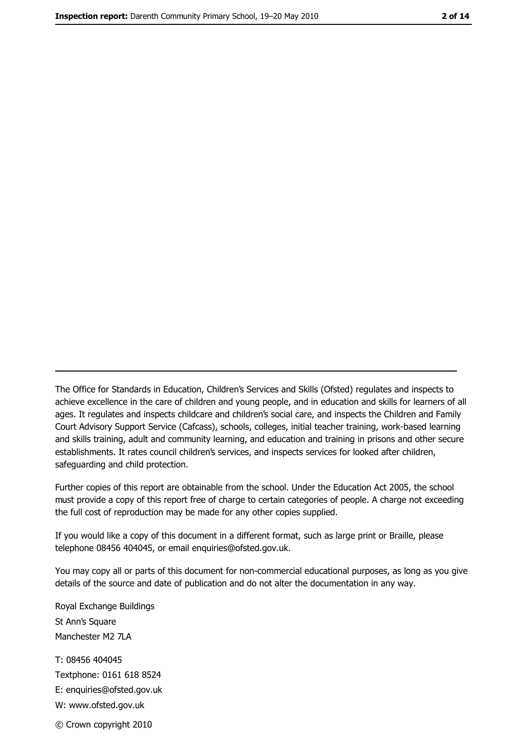The Office for Standards in Education, Children's Services and Skills (Ofsted) regulates and inspects to achieve excellence in the care of children and young people, and in education and skills for learners of all ages. It regulates and inspects childcare and children's social care, and inspects the Children and Family Court Advisory Support Service (Cafcass), schools, colleges, initial teacher training, work-based learning and skills training, adult and community learning, and education and training in prisons and other secure establishments. It rates council children's services, and inspects services for looked after children, safequarding and child protection.

Further copies of this report are obtainable from the school. Under the Education Act 2005, the school must provide a copy of this report free of charge to certain categories of people. A charge not exceeding the full cost of reproduction may be made for any other copies supplied.

If you would like a copy of this document in a different format, such as large print or Braille, please telephone 08456 404045, or email enquiries@ofsted.gov.uk.

You may copy all or parts of this document for non-commercial educational purposes, as long as you give details of the source and date of publication and do not alter the documentation in any way.

Royal Exchange Buildings St Ann's Square Manchester M2 7LA T: 08456 404045 Textphone: 0161 618 8524 E: enquiries@ofsted.gov.uk W: www.ofsted.gov.uk © Crown copyright 2010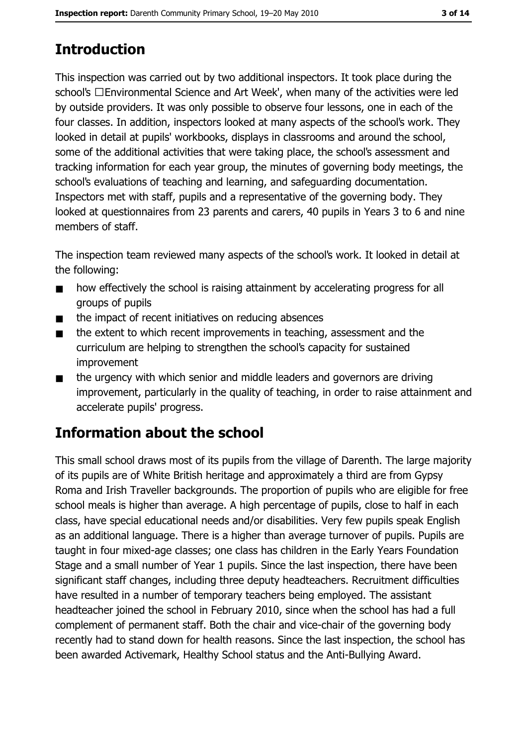# **Introduction**

This inspection was carried out by two additional inspectors. It took place during the school's □Environmental Science and Art Week', when many of the activities were led by outside providers. It was only possible to observe four lessons, one in each of the four classes. In addition, inspectors looked at many aspects of the school's work. They looked in detail at pupils' workbooks, displays in classrooms and around the school, some of the additional activities that were taking place, the school's assessment and tracking information for each year group, the minutes of governing body meetings, the school's evaluations of teaching and learning, and safeguarding documentation. Inspectors met with staff, pupils and a representative of the governing body. They looked at questionnaires from 23 parents and carers, 40 pupils in Years 3 to 6 and nine members of staff.

The inspection team reviewed many aspects of the school's work. It looked in detail at the following:

- how effectively the school is raising attainment by accelerating progress for all  $\blacksquare$ groups of pupils
- the impact of recent initiatives on reducing absences  $\blacksquare$
- the extent to which recent improvements in teaching, assessment and the  $\blacksquare$ curriculum are helping to strengthen the school's capacity for sustained improvement
- the urgency with which senior and middle leaders and governors are driving  $\blacksquare$ improvement, particularly in the quality of teaching, in order to raise attainment and accelerate pupils' progress.

# **Information about the school**

This small school draws most of its pupils from the village of Darenth. The large majority of its pupils are of White British heritage and approximately a third are from Gypsy Roma and Irish Traveller backgrounds. The proportion of pupils who are eligible for free school meals is higher than average. A high percentage of pupils, close to half in each class, have special educational needs and/or disabilities. Very few pupils speak English as an additional language. There is a higher than average turnover of pupils. Pupils are taught in four mixed-age classes; one class has children in the Early Years Foundation Stage and a small number of Year 1 pupils. Since the last inspection, there have been significant staff changes, including three deputy headteachers. Recruitment difficulties have resulted in a number of temporary teachers being employed. The assistant headteacher joined the school in February 2010, since when the school has had a full complement of permanent staff. Both the chair and vice-chair of the governing body recently had to stand down for health reasons. Since the last inspection, the school has been awarded Activemark, Healthy School status and the Anti-Bullying Award.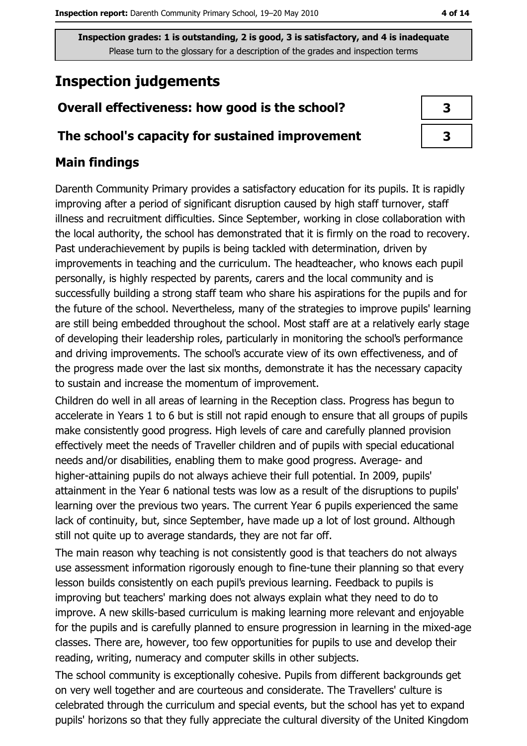# **Inspection judgements**

## Overall effectiveness: how good is the school?

## The school's capacity for sustained improvement

## **Main findings**

Darenth Community Primary provides a satisfactory education for its pupils. It is rapidly improving after a period of significant disruption caused by high staff turnover, staff illness and recruitment difficulties. Since September, working in close collaboration with the local authority, the school has demonstrated that it is firmly on the road to recovery. Past underachievement by pupils is being tackled with determination, driven by improvements in teaching and the curriculum. The headteacher, who knows each pupil personally, is highly respected by parents, carers and the local community and is successfully building a strong staff team who share his aspirations for the pupils and for the future of the school. Nevertheless, many of the strategies to improve pupils' learning are still being embedded throughout the school. Most staff are at a relatively early stage of developing their leadership roles, particularly in monitoring the school's performance and driving improvements. The school's accurate view of its own effectiveness, and of the progress made over the last six months, demonstrate it has the necessary capacity to sustain and increase the momentum of improvement.

Children do well in all areas of learning in the Reception class. Progress has begun to accelerate in Years 1 to 6 but is still not rapid enough to ensure that all groups of pupils make consistently good progress. High levels of care and carefully planned provision effectively meet the needs of Traveller children and of pupils with special educational needs and/or disabilities, enabling them to make good progress. Average- and higher-attaining pupils do not always achieve their full potential. In 2009, pupils' attainment in the Year 6 national tests was low as a result of the disruptions to pupils' learning over the previous two years. The current Year 6 pupils experienced the same lack of continuity, but, since September, have made up a lot of lost ground. Although still not quite up to average standards, they are not far off.

The main reason why teaching is not consistently good is that teachers do not always use assessment information rigorously enough to fine-tune their planning so that every lesson builds consistently on each pupil's previous learning. Feedback to pupils is improving but teachers' marking does not always explain what they need to do to improve. A new skills-based curriculum is making learning more relevant and enjoyable for the pupils and is carefully planned to ensure progression in learning in the mixed-age classes. There are, however, too few opportunities for pupils to use and develop their reading, writing, numeracy and computer skills in other subjects.

The school community is exceptionally cohesive. Pupils from different backgrounds get on very well together and are courteous and considerate. The Travellers' culture is celebrated through the curriculum and special events, but the school has yet to expand pupils' horizons so that they fully appreciate the cultural diversity of the United Kingdom

| 3 |
|---|
| 3 |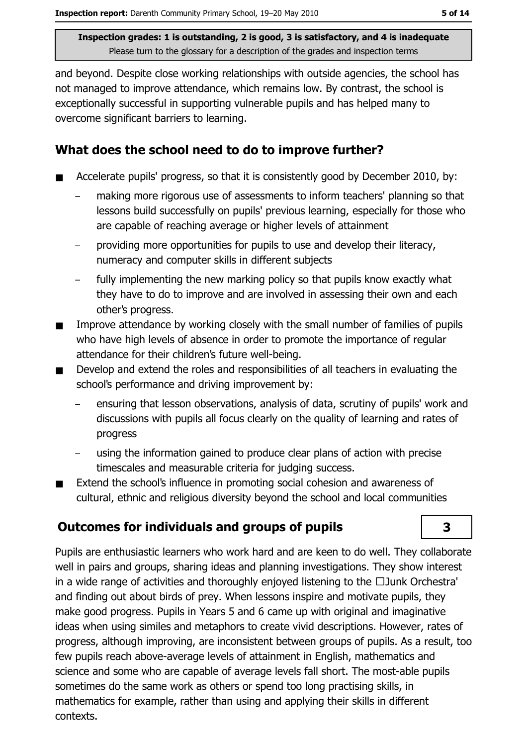and beyond. Despite close working relationships with outside agencies, the school has not managed to improve attendance, which remains low. By contrast, the school is exceptionally successful in supporting vulnerable pupils and has helped many to overcome significant barriers to learning.

## What does the school need to do to improve further?

- Accelerate pupils' progress, so that it is consistently good by December 2010, by:
	- making more rigorous use of assessments to inform teachers' planning so that lessons build successfully on pupils' previous learning, especially for those who are capable of reaching average or higher levels of attainment
	- providing more opportunities for pupils to use and develop their literacy, numeracy and computer skills in different subjects
	- fully implementing the new marking policy so that pupils know exactly what they have to do to improve and are involved in assessing their own and each other's progress.
- Improve attendance by working closely with the small number of families of pupils  $\blacksquare$ who have high levels of absence in order to promote the importance of regular attendance for their children's future well-being.
- Develop and extend the roles and responsibilities of all teachers in evaluating the school's performance and driving improvement by:
	- ensuring that lesson observations, analysis of data, scrutiny of pupils' work and discussions with pupils all focus clearly on the quality of learning and rates of progress
	- using the information gained to produce clear plans of action with precise timescales and measurable criteria for judging success.
- Extend the school's influence in promoting social cohesion and awareness of  $\blacksquare$ cultural, ethnic and religious diversity beyond the school and local communities

## **Outcomes for individuals and groups of pupils**

Pupils are enthusiastic learners who work hard and are keen to do well. They collaborate well in pairs and groups, sharing ideas and planning investigations. They show interest in a wide range of activities and thoroughly enjoved listening to the  $\Box$ Junk Orchestra' and finding out about birds of prey. When lessons inspire and motivate pupils, they make good progress. Pupils in Years 5 and 6 came up with original and imaginative ideas when using similes and metaphors to create vivid descriptions. However, rates of progress, although improving, are inconsistent between groups of pupils. As a result, too few pupils reach above-average levels of attainment in English, mathematics and science and some who are capable of average levels fall short. The most-able pupils sometimes do the same work as others or spend too long practising skills, in mathematics for example, rather than using and applying their skills in different contexts.

3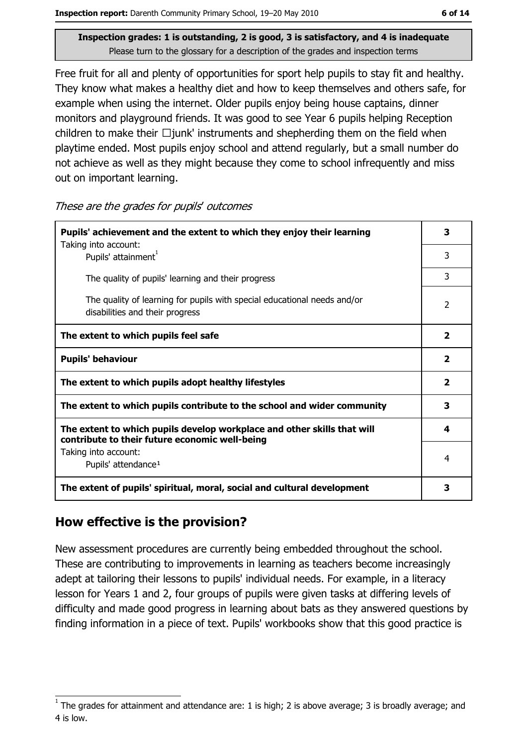Free fruit for all and plenty of opportunities for sport help pupils to stay fit and healthy. They know what makes a healthy diet and how to keep themselves and others safe, for example when using the internet. Older pupils enjoy being house captains, dinner monitors and playground friends. It was good to see Year 6 pupils helping Reception children to make their  $\Box$ junk' instruments and shepherding them on the field when playtime ended. Most pupils enjoy school and attend regularly, but a small number do not achieve as well as they might because they come to school infrequently and miss out on important learning.

These are the grades for pupils' outcomes

| Pupils' achievement and the extent to which they enjoy their learning<br>Taking into account:                             | 3                        |
|---------------------------------------------------------------------------------------------------------------------------|--------------------------|
| Pupils' attainment <sup>1</sup>                                                                                           | 3                        |
| The quality of pupils' learning and their progress                                                                        | 3                        |
| The quality of learning for pupils with special educational needs and/or<br>disabilities and their progress               | $\overline{\phantom{a}}$ |
| The extent to which pupils feel safe                                                                                      | $\overline{\mathbf{2}}$  |
| <b>Pupils' behaviour</b>                                                                                                  | $\overline{\mathbf{2}}$  |
| The extent to which pupils adopt healthy lifestyles                                                                       | $\mathbf{2}$             |
| The extent to which pupils contribute to the school and wider community                                                   | 3                        |
| The extent to which pupils develop workplace and other skills that will<br>contribute to their future economic well-being | 4                        |
| Taking into account:<br>Pupils' attendance <sup>1</sup>                                                                   | 4                        |
| The extent of pupils' spiritual, moral, social and cultural development                                                   | 3                        |

## How effective is the provision?

New assessment procedures are currently being embedded throughout the school. These are contributing to improvements in learning as teachers become increasingly adept at tailoring their lessons to pupils' individual needs. For example, in a literacy lesson for Years 1 and 2, four groups of pupils were given tasks at differing levels of difficulty and made good progress in learning about bats as they answered questions by finding information in a piece of text. Pupils' workbooks show that this good practice is

The grades for attainment and attendance are: 1 is high; 2 is above average; 3 is broadly average; and 4 is low.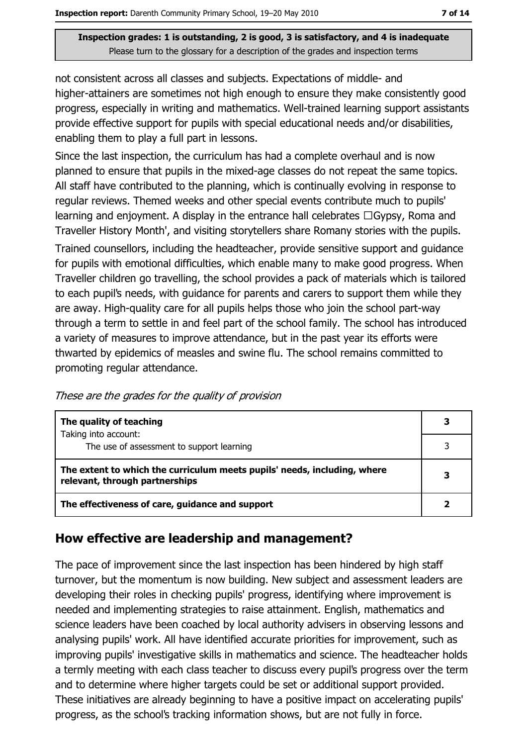not consistent across all classes and subjects. Expectations of middle- and higher-attainers are sometimes not high enough to ensure they make consistently good progress, especially in writing and mathematics. Well-trained learning support assistants provide effective support for pupils with special educational needs and/or disabilities, enabling them to play a full part in lessons.

Since the last inspection, the curriculum has had a complete overhaul and is now planned to ensure that pupils in the mixed-age classes do not repeat the same topics. All staff have contributed to the planning, which is continually evolving in response to regular reviews. Themed weeks and other special events contribute much to pupils' learning and enjoyment. A display in the entrance hall celebrates  $\Box$  Gypsy, Roma and Traveller History Month', and visiting storytellers share Romany stories with the pupils.

Trained counsellors, including the headteacher, provide sensitive support and quidance for pupils with emotional difficulties, which enable many to make good progress. When Traveller children go travelling, the school provides a pack of materials which is tailored to each pupil's needs, with guidance for parents and carers to support them while they are away. High-quality care for all pupils helps those who join the school part-way through a term to settle in and feel part of the school family. The school has introduced a variety of measures to improve attendance, but in the past year its efforts were thwarted by epidemics of measles and swine flu. The school remains committed to promoting regular attendance.

These are the grades for the quality of provision

| The quality of teaching                                                                                    | 3 |
|------------------------------------------------------------------------------------------------------------|---|
| Taking into account:<br>The use of assessment to support learning                                          | 3 |
| The extent to which the curriculum meets pupils' needs, including, where<br>relevant, through partnerships |   |
| The effectiveness of care, guidance and support                                                            |   |

## How effective are leadership and management?

The pace of improvement since the last inspection has been hindered by high staff turnover, but the momentum is now building. New subject and assessment leaders are developing their roles in checking pupils' progress, identifying where improvement is needed and implementing strategies to raise attainment. English, mathematics and science leaders have been coached by local authority advisers in observing lessons and analysing pupils' work. All have identified accurate priorities for improvement, such as improving pupils' investigative skills in mathematics and science. The headteacher holds a termly meeting with each class teacher to discuss every pupil's progress over the term and to determine where higher targets could be set or additional support provided. These initiatives are already beginning to have a positive impact on accelerating pupils' progress, as the school's tracking information shows, but are not fully in force.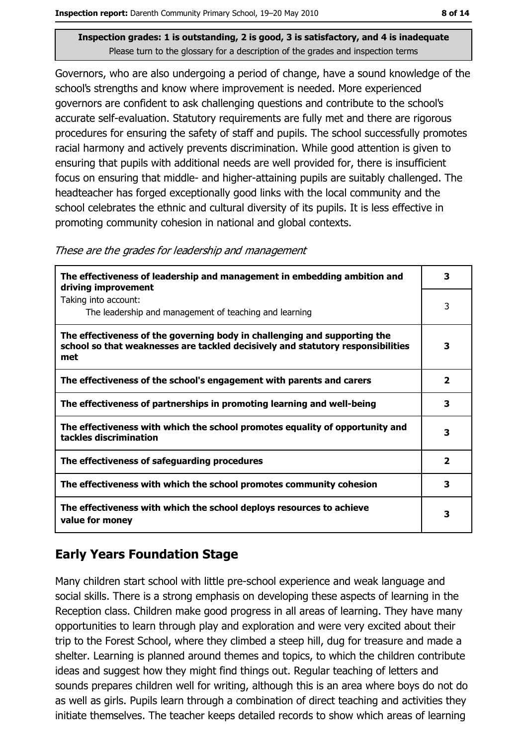Governors, who are also undergoing a period of change, have a sound knowledge of the school's strengths and know where improvement is needed. More experienced governors are confident to ask challenging guestions and contribute to the school's accurate self-evaluation. Statutory requirements are fully met and there are rigorous procedures for ensuring the safety of staff and pupils. The school successfully promotes racial harmony and actively prevents discrimination. While good attention is given to ensuring that pupils with additional needs are well provided for, there is insufficient focus on ensuring that middle- and higher-attaining pupils are suitably challenged. The headteacher has forged exceptionally good links with the local community and the school celebrates the ethnic and cultural diversity of its pupils. It is less effective in promoting community cohesion in national and global contexts.

These are the grades for leadership and management

| The effectiveness of leadership and management in embedding ambition and<br>driving improvement                                                                     | 3            |
|---------------------------------------------------------------------------------------------------------------------------------------------------------------------|--------------|
| Taking into account:<br>The leadership and management of teaching and learning                                                                                      | 3            |
| The effectiveness of the governing body in challenging and supporting the<br>school so that weaknesses are tackled decisively and statutory responsibilities<br>met | 3            |
| The effectiveness of the school's engagement with parents and carers                                                                                                | 2            |
| The effectiveness of partnerships in promoting learning and well-being                                                                                              | 3            |
| The effectiveness with which the school promotes equality of opportunity and<br>tackles discrimination                                                              | 3            |
| The effectiveness of safeguarding procedures                                                                                                                        | $\mathbf{2}$ |
| The effectiveness with which the school promotes community cohesion                                                                                                 | 3            |
| The effectiveness with which the school deploys resources to achieve<br>value for money                                                                             | 3            |

## **Early Years Foundation Stage**

Many children start school with little pre-school experience and weak language and social skills. There is a strong emphasis on developing these aspects of learning in the Reception class. Children make good progress in all areas of learning. They have many opportunities to learn through play and exploration and were very excited about their trip to the Forest School, where they climbed a steep hill, dug for treasure and made a shelter. Learning is planned around themes and topics, to which the children contribute ideas and suggest how they might find things out. Regular teaching of letters and sounds prepares children well for writing, although this is an area where boys do not do as well as girls. Pupils learn through a combination of direct teaching and activities they initiate themselves. The teacher keeps detailed records to show which areas of learning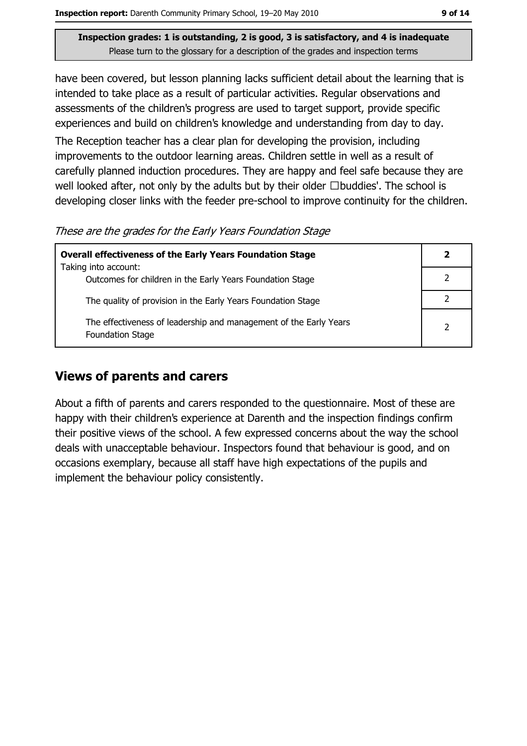have been covered, but lesson planning lacks sufficient detail about the learning that is intended to take place as a result of particular activities. Regular observations and assessments of the children's progress are used to target support, provide specific experiences and build on children's knowledge and understanding from day to day.

The Reception teacher has a clear plan for developing the provision, including improvements to the outdoor learning areas. Children settle in well as a result of carefully planned induction procedures. They are happy and feel safe because they are well looked after, not only by the adults but by their older  $\Box$ buddies'. The school is developing closer links with the feeder pre-school to improve continuity for the children.

These are the grades for the Early Years Foundation Stage

| <b>Overall effectiveness of the Early Years Foundation Stage</b>                             | $\mathbf{2}$ |
|----------------------------------------------------------------------------------------------|--------------|
| Taking into account:                                                                         |              |
| Outcomes for children in the Early Years Foundation Stage                                    |              |
| The quality of provision in the Early Years Foundation Stage                                 |              |
| The effectiveness of leadership and management of the Early Years<br><b>Foundation Stage</b> |              |

## **Views of parents and carers**

About a fifth of parents and carers responded to the questionnaire. Most of these are happy with their children's experience at Darenth and the inspection findings confirm their positive views of the school. A few expressed concerns about the way the school deals with unacceptable behaviour. Inspectors found that behaviour is good, and on occasions exemplary, because all staff have high expectations of the pupils and implement the behaviour policy consistently.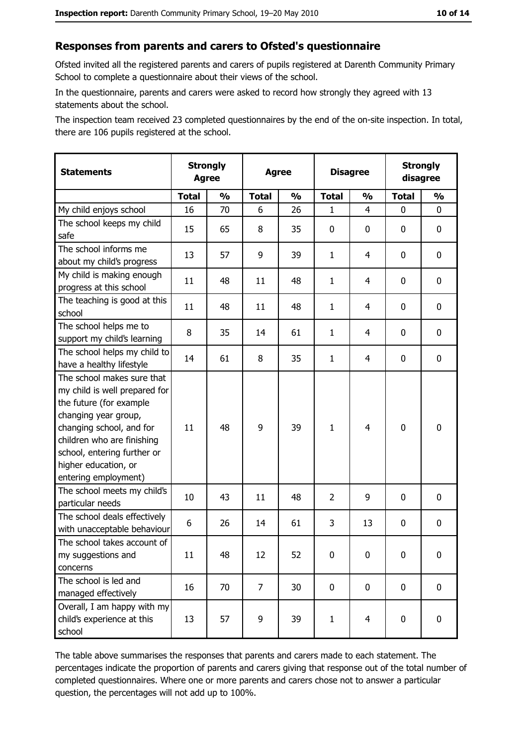#### Responses from parents and carers to Ofsted's questionnaire

Ofsted invited all the registered parents and carers of pupils registered at Darenth Community Primary School to complete a questionnaire about their views of the school.

In the questionnaire, parents and carers were asked to record how strongly they agreed with 13 statements about the school.

The inspection team received 23 completed questionnaires by the end of the on-site inspection. In total, there are 106 pupils registered at the school.

| <b>Statements</b>                                                                                                                                                                                                                                       | <b>Strongly</b><br><b>Agree</b> |               | <b>Agree</b>   |               | <b>Disagree</b> |                | <b>Strongly</b><br>disagree |               |
|---------------------------------------------------------------------------------------------------------------------------------------------------------------------------------------------------------------------------------------------------------|---------------------------------|---------------|----------------|---------------|-----------------|----------------|-----------------------------|---------------|
|                                                                                                                                                                                                                                                         | <b>Total</b>                    | $\frac{0}{0}$ | <b>Total</b>   | $\frac{1}{2}$ | <b>Total</b>    | $\frac{0}{0}$  | <b>Total</b>                | $\frac{1}{2}$ |
| My child enjoys school                                                                                                                                                                                                                                  | 16                              | 70            | 6              | 26            | $\mathbf{1}$    | 4              | $\Omega$                    | 0             |
| The school keeps my child<br>safe                                                                                                                                                                                                                       | 15                              | 65            | 8              | 35            | 0               | 0              | 0                           | 0             |
| The school informs me<br>about my child's progress                                                                                                                                                                                                      | 13                              | 57            | 9              | 39            | $\mathbf{1}$    | 4              | 0                           | $\mathbf 0$   |
| My child is making enough<br>progress at this school                                                                                                                                                                                                    | 11                              | 48            | 11             | 48            | $\mathbf{1}$    | 4              | 0                           | 0             |
| The teaching is good at this<br>school                                                                                                                                                                                                                  | 11                              | 48            | 11             | 48            | $\mathbf{1}$    | 4              | 0                           | 0             |
| The school helps me to<br>support my child's learning                                                                                                                                                                                                   | 8                               | 35            | 14             | 61            | $\mathbf{1}$    | 4              | 0                           | $\mathbf 0$   |
| The school helps my child to<br>have a healthy lifestyle                                                                                                                                                                                                | 14                              | 61            | 8              | 35            | $\mathbf{1}$    | 4              | 0                           | $\mathbf 0$   |
| The school makes sure that<br>my child is well prepared for<br>the future (for example<br>changing year group,<br>changing school, and for<br>children who are finishing<br>school, entering further or<br>higher education, or<br>entering employment) | 11                              | 48            | 9              | 39            | $\mathbf{1}$    | 4              | $\mathbf 0$                 | $\mathbf 0$   |
| The school meets my child's<br>particular needs                                                                                                                                                                                                         | 10                              | 43            | 11             | 48            | $\overline{2}$  | 9              | 0                           | 0             |
| The school deals effectively<br>with unacceptable behaviour                                                                                                                                                                                             | 6                               | 26            | 14             | 61            | 3               | 13             | 0                           | $\mathbf 0$   |
| The school takes account of<br>my suggestions and<br>concerns                                                                                                                                                                                           | 11                              | 48            | 12             | 52            | $\mathbf 0$     | 0              | 0                           | 0             |
| The school is led and<br>managed effectively                                                                                                                                                                                                            | 16                              | 70            | $\overline{7}$ | 30            | $\mathbf 0$     | 0              | $\bf{0}$                    | $\mathbf 0$   |
| Overall, I am happy with my<br>child's experience at this<br>school                                                                                                                                                                                     | 13                              | 57            | 9              | 39            | $\mathbf{1}$    | $\overline{4}$ | $\mathbf 0$                 | $\mathbf 0$   |

The table above summarises the responses that parents and carers made to each statement. The percentages indicate the proportion of parents and carers giving that response out of the total number of completed questionnaires. Where one or more parents and carers chose not to answer a particular question, the percentages will not add up to 100%.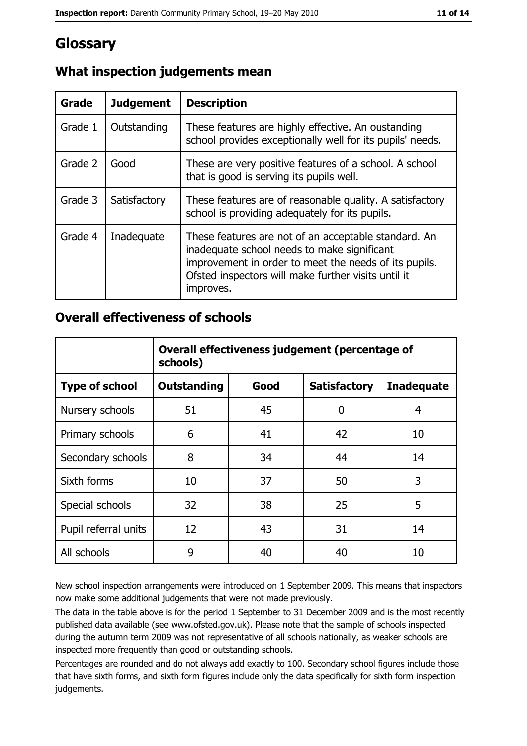## Glossary

| Grade   | <b>Judgement</b> | <b>Description</b>                                                                                                                                                                                                               |
|---------|------------------|----------------------------------------------------------------------------------------------------------------------------------------------------------------------------------------------------------------------------------|
| Grade 1 | Outstanding      | These features are highly effective. An oustanding<br>school provides exceptionally well for its pupils' needs.                                                                                                                  |
| Grade 2 | Good             | These are very positive features of a school. A school<br>that is good is serving its pupils well.                                                                                                                               |
| Grade 3 | Satisfactory     | These features are of reasonable quality. A satisfactory<br>school is providing adequately for its pupils.                                                                                                                       |
| Grade 4 | Inadequate       | These features are not of an acceptable standard. An<br>inadequate school needs to make significant<br>improvement in order to meet the needs of its pupils.<br>Ofsted inspectors will make further visits until it<br>improves. |

## What inspection judgements mean

## **Overall effectiveness of schools**

|                       | Overall effectiveness judgement (percentage of<br>schools) |      |                     |                   |
|-----------------------|------------------------------------------------------------|------|---------------------|-------------------|
| <b>Type of school</b> | <b>Outstanding</b>                                         | Good | <b>Satisfactory</b> | <b>Inadequate</b> |
| Nursery schools       | 51                                                         | 45   | 0                   | 4                 |
| Primary schools       | 6                                                          | 41   | 42                  | 10                |
| Secondary schools     | 8                                                          | 34   | 44                  | 14                |
| Sixth forms           | 10                                                         | 37   | 50                  | 3                 |
| Special schools       | 32                                                         | 38   | 25                  | 5                 |
| Pupil referral units  | 12                                                         | 43   | 31                  | 14                |
| All schools           | 9                                                          | 40   | 40                  | 10                |

New school inspection arrangements were introduced on 1 September 2009. This means that inspectors now make some additional judgements that were not made previously.

The data in the table above is for the period 1 September to 31 December 2009 and is the most recently published data available (see www.ofsted.gov.uk). Please note that the sample of schools inspected during the autumn term 2009 was not representative of all schools nationally, as weaker schools are inspected more frequently than good or outstanding schools.

Percentages are rounded and do not always add exactly to 100. Secondary school figures include those that have sixth forms, and sixth form figures include only the data specifically for sixth form inspection judgements.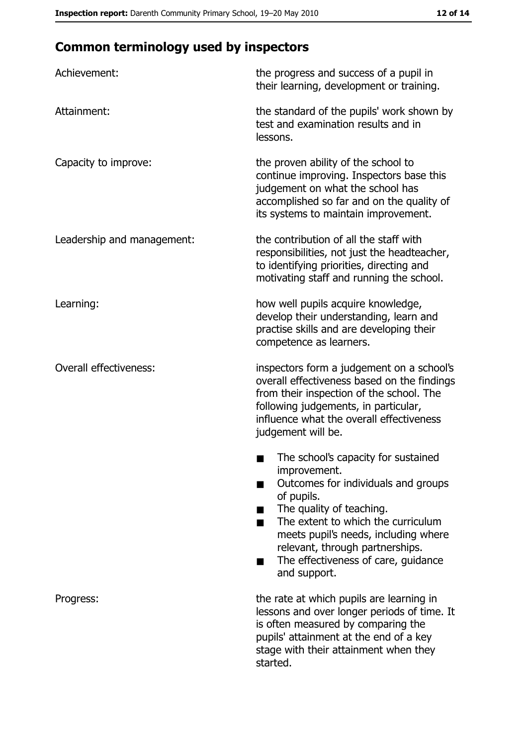# **Common terminology used by inspectors**

| Achievement:                  | the progress and success of a pupil in<br>their learning, development or training.                                                                                                                                                                                                                           |
|-------------------------------|--------------------------------------------------------------------------------------------------------------------------------------------------------------------------------------------------------------------------------------------------------------------------------------------------------------|
| Attainment:                   | the standard of the pupils' work shown by<br>test and examination results and in<br>lessons.                                                                                                                                                                                                                 |
| Capacity to improve:          | the proven ability of the school to<br>continue improving. Inspectors base this<br>judgement on what the school has<br>accomplished so far and on the quality of<br>its systems to maintain improvement.                                                                                                     |
| Leadership and management:    | the contribution of all the staff with<br>responsibilities, not just the headteacher,<br>to identifying priorities, directing and<br>motivating staff and running the school.                                                                                                                                |
| Learning:                     | how well pupils acquire knowledge,<br>develop their understanding, learn and<br>practise skills and are developing their<br>competence as learners.                                                                                                                                                          |
| <b>Overall effectiveness:</b> | inspectors form a judgement on a school's<br>overall effectiveness based on the findings<br>from their inspection of the school. The<br>following judgements, in particular,<br>influence what the overall effectiveness<br>judgement will be.                                                               |
|                               | The school's capacity for sustained<br>improvement.<br>Outcomes for individuals and groups<br>of pupils.<br>The quality of teaching.<br>The extent to which the curriculum<br>meets pupil's needs, including where<br>relevant, through partnerships.<br>The effectiveness of care, guidance<br>and support. |
| Progress:                     | the rate at which pupils are learning in<br>lessons and over longer periods of time. It<br>is often measured by comparing the<br>pupils' attainment at the end of a key<br>stage with their attainment when they<br>started.                                                                                 |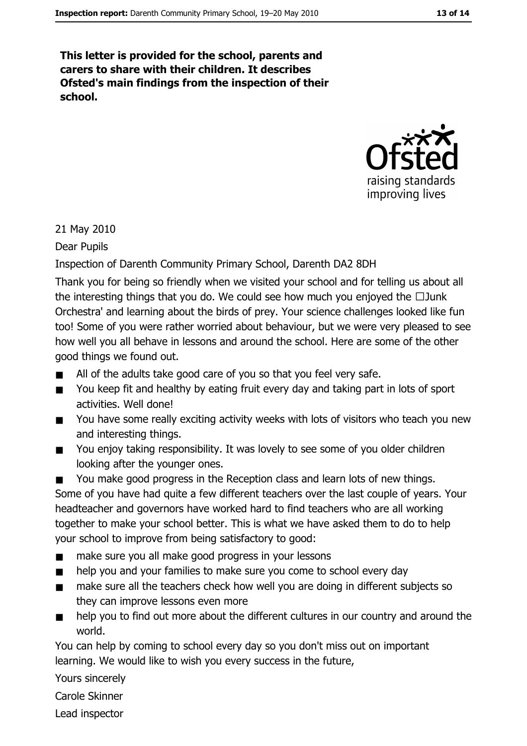This letter is provided for the school, parents and carers to share with their children. It describes Ofsted's main findings from the inspection of their school.



#### 21 May 2010

Dear Pupils

#### Inspection of Darenth Community Primary School, Darenth DA2 8DH

Thank you for being so friendly when we visited your school and for telling us about all the interesting things that you do. We could see how much you enjoyed the  $\Box$  Junk Orchestra' and learning about the birds of prey. Your science challenges looked like fun too! Some of you were rather worried about behaviour, but we were very pleased to see how well you all behave in lessons and around the school. Here are some of the other good things we found out.

- All of the adults take good care of you so that you feel very safe.  $\blacksquare$
- You keep fit and healthy by eating fruit every day and taking part in lots of sport  $\blacksquare$ activities. Well done!
- You have some really exciting activity weeks with lots of visitors who teach you new  $\blacksquare$ and interesting things.
- You enjoy taking responsibility. It was lovely to see some of you older children  $\blacksquare$ looking after the younger ones.
- You make good progress in the Reception class and learn lots of new things.

Some of you have had quite a few different teachers over the last couple of years. Your headteacher and governors have worked hard to find teachers who are all working together to make your school better. This is what we have asked them to do to help your school to improve from being satisfactory to good:

- make sure you all make good progress in your lessons  $\blacksquare$
- help you and your families to make sure you come to school every day  $\blacksquare$
- make sure all the teachers check how well you are doing in different subjects so  $\blacksquare$ they can improve lessons even more
- help you to find out more about the different cultures in our country and around the  $\blacksquare$ world.

You can help by coming to school every day so you don't miss out on important learning. We would like to wish you every success in the future,

Yours sincerely

Carole Skinner

Lead inspector